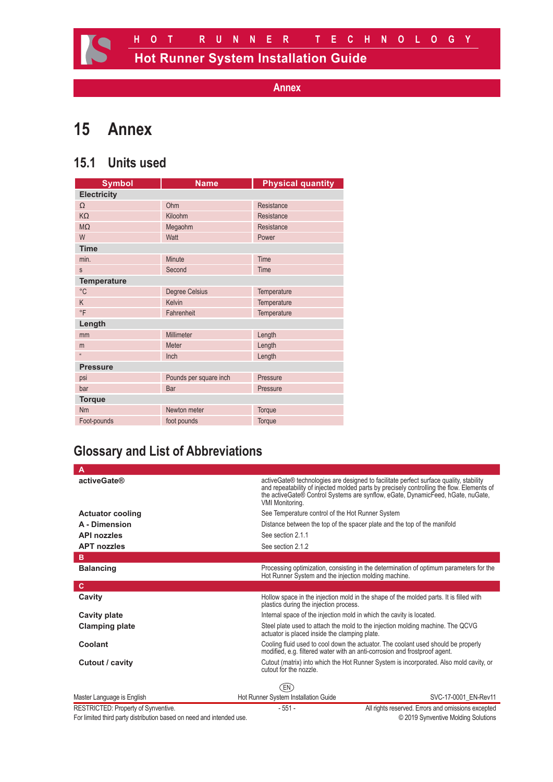# **15 Annex**

# **15.1 Units used**

| <b>Symbol</b>      | <b>Name</b>            | <b>Physical quantity</b> |  |  |
|--------------------|------------------------|--------------------------|--|--|
| <b>Electricity</b> |                        |                          |  |  |
| $\Omega$           | Ohm                    | Resistance               |  |  |
| KΩ                 | Kiloohm                | Resistance               |  |  |
| $M\Omega$          | Megaohm                | Resistance               |  |  |
| W                  | Watt                   | Power                    |  |  |
| <b>Time</b>        |                        |                          |  |  |
| min.               | Minute                 | Time                     |  |  |
| S                  | Second                 | Time                     |  |  |
| <b>Temperature</b> |                        |                          |  |  |
| $^{\circ}C$        | <b>Degree Celsius</b>  | Temperature              |  |  |
| K                  | Kelvin                 | Temperature              |  |  |
| $\circ$ F          | Fahrenheit             | Temperature              |  |  |
| Length             |                        |                          |  |  |
| mm                 | Millimeter             | Length                   |  |  |
| m                  | Meter                  | Length                   |  |  |
| $\mathfrak{g}$     | Inch                   | Length                   |  |  |
| <b>Pressure</b>    |                        |                          |  |  |
| psi                | Pounds per square inch | Pressure                 |  |  |
| bar                | Bar                    | Pressure                 |  |  |
| <b>Torque</b>      |                        |                          |  |  |
| Nm                 | Newton meter           | Torque                   |  |  |
| Foot-pounds        | foot pounds            | Torque                   |  |  |

# **Glossary and List of Abbreviations**

| Α                                   |                                                                      |                                                                                                                                                                                                                                                                         |  |  |
|-------------------------------------|----------------------------------------------------------------------|-------------------------------------------------------------------------------------------------------------------------------------------------------------------------------------------------------------------------------------------------------------------------|--|--|
| <b>activeGate®</b>                  | VMI Monitoring.                                                      | active Gate® technologies are designed to facilitate perfect surface quality, stability<br>and repeatability of injected molded parts by precisely controlling the flow. Elements of<br>the activeGate® Control Systems are synflow, eGate, DynamicFeed, hGate, nuGate, |  |  |
| <b>Actuator cooling</b>             | See Temperature control of the Hot Runner System                     |                                                                                                                                                                                                                                                                         |  |  |
| A - Dimension                       |                                                                      | Distance between the top of the spacer plate and the top of the manifold                                                                                                                                                                                                |  |  |
| <b>API nozzles</b>                  | See section 2.1.1                                                    |                                                                                                                                                                                                                                                                         |  |  |
| <b>APT nozzles</b>                  | See section 2.1.2                                                    |                                                                                                                                                                                                                                                                         |  |  |
| в                                   |                                                                      |                                                                                                                                                                                                                                                                         |  |  |
| <b>Balancing</b>                    | Hot Runner System and the injection molding machine.                 | Processing optimization, consisting in the determination of optimum parameters for the                                                                                                                                                                                  |  |  |
| c                                   |                                                                      |                                                                                                                                                                                                                                                                         |  |  |
| Cavity                              | plastics during the injection process.                               | Hollow space in the injection mold in the shape of the molded parts. It is filled with                                                                                                                                                                                  |  |  |
| Cavity plate                        | Internal space of the injection mold in which the cavity is located. |                                                                                                                                                                                                                                                                         |  |  |
| <b>Clamping plate</b>               | actuator is placed inside the clamping plate.                        | Steel plate used to attach the mold to the injection molding machine. The QCVG                                                                                                                                                                                          |  |  |
| Coolant                             |                                                                      | Cooling fluid used to cool down the actuator. The coolant used should be properly<br>modified, e.g. filtered water with an anti-corrosion and frostproof agent.                                                                                                         |  |  |
| Cutout / cavity                     | cutout for the nozzle                                                | Cutout (matrix) into which the Hot Runner System is incorporated. Also mold cavity, or                                                                                                                                                                                  |  |  |
|                                     | EN)                                                                  |                                                                                                                                                                                                                                                                         |  |  |
| Master Language is English          | Hot Runner System Installation Guide                                 | SVC-17-0001 EN-Rev11                                                                                                                                                                                                                                                    |  |  |
| RESTRICTED: Property of Synventive. | $-551-$                                                              | All rights reserved. Errors and omissions excepted                                                                                                                                                                                                                      |  |  |

For limited third party distribution based on need and intended use. **Example 2019** Synventive Molding Solutions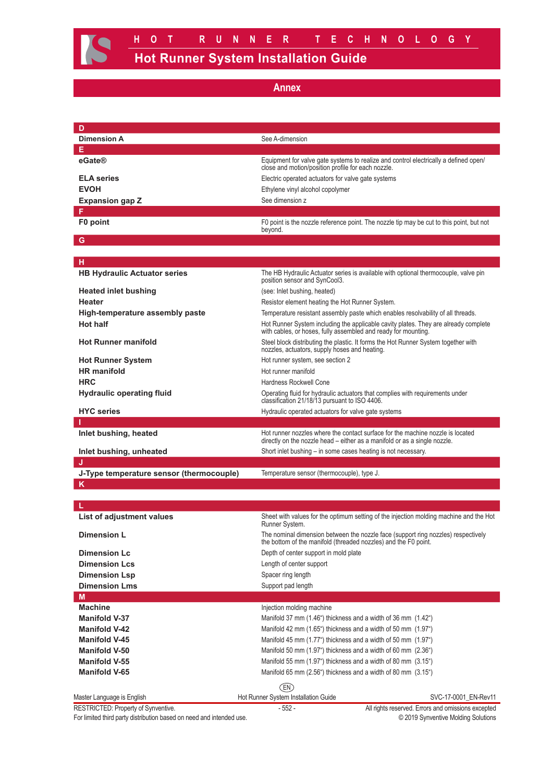| D                                        |                                                                                                                                                             |  |
|------------------------------------------|-------------------------------------------------------------------------------------------------------------------------------------------------------------|--|
| <b>Dimension A</b>                       | See A-dimension                                                                                                                                             |  |
| Е                                        |                                                                                                                                                             |  |
| eGate®                                   | Equipment for valve gate systems to realize and control electrically a defined open/<br>close and motion/position profile for each nozzle.                  |  |
| <b>ELA series</b>                        | Electric operated actuators for valve gate systems                                                                                                          |  |
| <b>EVOH</b>                              | Ethylene vinyl alcohol copolymer                                                                                                                            |  |
| <b>Expansion gap Z</b>                   | See dimension z                                                                                                                                             |  |
| F                                        |                                                                                                                                                             |  |
| F0 point                                 | F0 point is the nozzle reference point. The nozzle tip may be cut to this point, but not<br>beyond.                                                         |  |
| G                                        |                                                                                                                                                             |  |
| н                                        |                                                                                                                                                             |  |
| <b>HB Hydraulic Actuator series</b>      | The HB Hydraulic Actuator series is available with optional thermocouple, valve pin<br>position sensor and SynCool3.                                        |  |
| <b>Heated inlet bushing</b>              | (see: Inlet bushing, heated)                                                                                                                                |  |
| Heater                                   | Resistor element heating the Hot Runner System.                                                                                                             |  |
| High-temperature assembly paste          | Temperature resistant assembly paste which enables resolvability of all threads.                                                                            |  |
| <b>Hot half</b>                          | Hot Runner System including the applicable cavity plates. They are already complete<br>with cables, or hoses, fully assembled and ready for mounting.       |  |
| <b>Hot Runner manifold</b>               | Steel block distributing the plastic. It forms the Hot Runner System together with<br>nozzles, actuators, supply hoses and heating.                         |  |
| <b>Hot Runner System</b>                 | Hot runner system, see section 2                                                                                                                            |  |
| <b>HR</b> manifold                       | Hot runner manifold                                                                                                                                         |  |
| <b>HRC</b>                               | <b>Hardness Rockwell Cone</b>                                                                                                                               |  |
| <b>Hydraulic operating fluid</b>         | Operating fluid for hydraulic actuators that complies with requirements under<br>classification 21/18/13 pursuant to ISO 4406.                              |  |
| <b>HYC</b> series                        | Hydraulic operated actuators for valve gate systems                                                                                                         |  |
|                                          |                                                                                                                                                             |  |
| Inlet bushing, heated                    | Hot runner nozzles where the contact surface for the machine nozzle is located<br>directly on the nozzle head – either as a manifold or as a single nozzle. |  |
| Inlet bushing, unheated                  | Short inlet bushing – in some cases heating is not necessary.                                                                                               |  |
| IJ                                       |                                                                                                                                                             |  |
| J-Type temperature sensor (thermocouple) | Temperature sensor (thermocouple), type J.                                                                                                                  |  |
| ĸ                                        |                                                                                                                                                             |  |
|                                          |                                                                                                                                                             |  |
|                                          |                                                                                                                                                             |  |
| List of adjustment values                | Sheet with values for the optimum setting of the injection molding machine and the Hot<br>Runner System.                                                    |  |
| <b>Dimension L</b>                       | The nominal dimension between the nozzle face (support ring nozzles) respectively<br>the bottom of the manifold (threaded nozzles) and the F0 point.        |  |
| <b>Dimension Lc</b>                      | Depth of center support in mold plate                                                                                                                       |  |
| <b>Dimension Lcs</b>                     | Length of center support                                                                                                                                    |  |
| <b>Dimension Lsp</b>                     | Spacer ring length                                                                                                                                          |  |
| <b>Dimension Lms</b>                     | Support pad length                                                                                                                                          |  |
| M                                        |                                                                                                                                                             |  |
| <b>Machine</b>                           | Injection molding machine                                                                                                                                   |  |
| <b>Manifold V-37</b>                     | Manifold 37 mm (1.46") thickness and a width of 36 mm (1.42")                                                                                               |  |
| <b>Manifold V-42</b>                     | Manifold 42 mm (1.65") thickness and a width of 50 mm (1.97")                                                                                               |  |
| <b>Manifold V-45</b>                     | Manifold 45 mm (1.77") thickness and a width of 50 mm (1.97")                                                                                               |  |
| <b>Manifold V-50</b>                     | Manifold 50 mm (1.97") thickness and a width of 60 mm (2.36")                                                                                               |  |
| <b>Manifold V-55</b>                     | Manifold 55 mm (1.97") thickness and a width of 80 mm (3.15")                                                                                               |  |
| <b>Manifold V-65</b>                     | Manifold 65 mm (2.56") thickness and a width of 80 mm (3.15")                                                                                               |  |
|                                          | (EN)                                                                                                                                                        |  |
| Master Language is English               | Hot Runner System Installation Guide<br>SVC-17-0001_EN-Rev11                                                                                                |  |
| RESTRICTED: Property of Synventive.      | All rights reserved. Errors and omissions excepted<br>$-552-$                                                                                               |  |

For limited third party distribution based on need and intended use. **Example 2019** Synventive Molding Solutions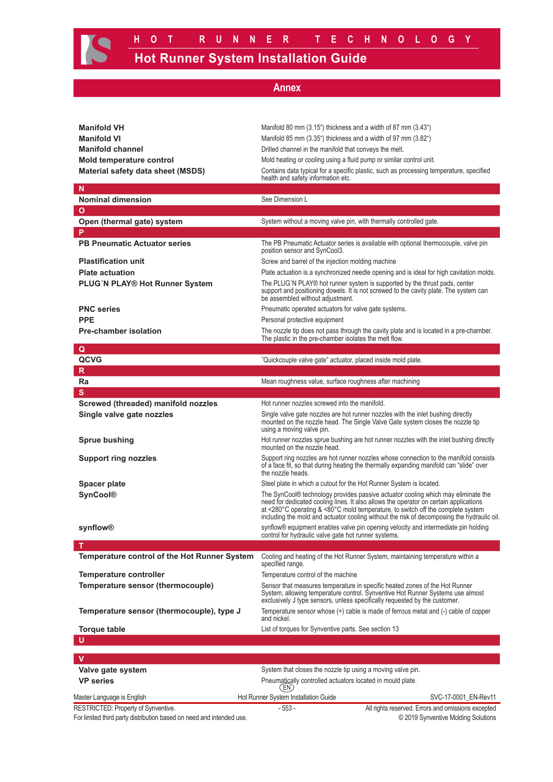| annex |  |  |
|-------|--|--|
|       |  |  |

| <b>Manifold VH</b>                                                                                          | Manifold 80 mm (3.15") thickness and a width of 87 mm (3.43")                                                                                                                                                                                                                                                                                                                     |
|-------------------------------------------------------------------------------------------------------------|-----------------------------------------------------------------------------------------------------------------------------------------------------------------------------------------------------------------------------------------------------------------------------------------------------------------------------------------------------------------------------------|
| <b>Manifold VI</b>                                                                                          | Manifold 85 mm (3.35") thickness and a width of 97 mm (3.82")                                                                                                                                                                                                                                                                                                                     |
| <b>Manifold channel</b>                                                                                     | Drilled channel in the manifold that conveys the melt.                                                                                                                                                                                                                                                                                                                            |
| Mold temperature control                                                                                    | Mold heating or cooling using a fluid pump or similar control unit.                                                                                                                                                                                                                                                                                                               |
| Material safety data sheet (MSDS)                                                                           | Contains data typical for a specific plastic, such as processing temperature, specified<br>health and safety information etc.                                                                                                                                                                                                                                                     |
| N                                                                                                           |                                                                                                                                                                                                                                                                                                                                                                                   |
| <b>Nominal dimension</b>                                                                                    | See Dimension L                                                                                                                                                                                                                                                                                                                                                                   |
| $\mathbf{o}$                                                                                                |                                                                                                                                                                                                                                                                                                                                                                                   |
| Open (thermal gate) system                                                                                  | System without a moving valve pin, with thermally controlled gate.                                                                                                                                                                                                                                                                                                                |
| P                                                                                                           |                                                                                                                                                                                                                                                                                                                                                                                   |
| <b>PB Pneumatic Actuator series</b>                                                                         | The PB Pneumatic Actuator series is available with optional thermocouple, valve pin<br>position sensor and SynCool3.                                                                                                                                                                                                                                                              |
| <b>Plastification unit</b>                                                                                  | Screw and barrel of the injection molding machine                                                                                                                                                                                                                                                                                                                                 |
| <b>Plate actuation</b>                                                                                      | Plate actuation is a synchronized needle opening and is ideal for high cavitation molds.                                                                                                                                                                                                                                                                                          |
| PLUG'N PLAY® Hot Runner System                                                                              | The PLUG'N PLAY® hot runner system is supported by the thrust pads, center<br>support and positioning dowels. It is not screwed to the cavity plate. The system can<br>be assembled without adjustment.                                                                                                                                                                           |
| <b>PNC</b> series                                                                                           | Pneumatic operated actuators for valve gate systems.                                                                                                                                                                                                                                                                                                                              |
| <b>PPE</b>                                                                                                  | Personal protective equipment                                                                                                                                                                                                                                                                                                                                                     |
| <b>Pre-chamber isolation</b>                                                                                | The nozzle tip does not pass through the cavity plate and is located in a pre-chamber.<br>The plastic in the pre-chamber isolates the melt flow.                                                                                                                                                                                                                                  |
| Q                                                                                                           |                                                                                                                                                                                                                                                                                                                                                                                   |
| QCVG                                                                                                        | "Quickcouple valve gate" actuator, placed inside mold plate.                                                                                                                                                                                                                                                                                                                      |
| R                                                                                                           |                                                                                                                                                                                                                                                                                                                                                                                   |
| Ra                                                                                                          | Mean roughness value, surface roughness after machining                                                                                                                                                                                                                                                                                                                           |
| S<br>Screwed (threaded) manifold nozzles                                                                    | Hot runner nozzles screwed into the manifold.                                                                                                                                                                                                                                                                                                                                     |
|                                                                                                             | Single valve gate nozzles are hot runner nozzles with the inlet bushing directly                                                                                                                                                                                                                                                                                                  |
| Single valve gate nozzles                                                                                   | mounted on the nozzle head. The Single Valve Gate system closes the nozzle tip<br>using a moving valve pin.                                                                                                                                                                                                                                                                       |
| <b>Sprue bushing</b>                                                                                        | Hot runner nozzles sprue bushing are hot runner nozzles with the inlet bushing directly<br>mounted on the nozzle head.                                                                                                                                                                                                                                                            |
| <b>Support ring nozzles</b>                                                                                 | Support ring nozzles are hot runner nozzles whose connection to the manifold consists<br>of a face fit, so that during heating the thermally expanding manifold can "slide" over<br>the nozzle heads.                                                                                                                                                                             |
| <b>Spacer plate</b>                                                                                         | Steel plate in which a cutout for the Hot Runner System is located.                                                                                                                                                                                                                                                                                                               |
| <b>SynCool®</b>                                                                                             | The SynCool® technology provides passive actuator cooling which may eliminate the<br>need for dedicated cooling lines. It also allows the operator on certain applications<br>at <280 $^{\circ}$ C operating & <80 $^{\circ}$ C mold temperature, to switch off the complete system<br>including the mold and actuator cooling without the risk of decomposing the hydraulic oil. |
| synflow®                                                                                                    | synflow® equipment enables valve pin opening velocity and intermediate pin holding<br>control for hydraulic valve gate hot runner systems.                                                                                                                                                                                                                                        |
| Т                                                                                                           |                                                                                                                                                                                                                                                                                                                                                                                   |
| Temperature control of the Hot Runner System                                                                | Cooling and heating of the Hot Runner System, maintaining temperature within a<br>specified range.                                                                                                                                                                                                                                                                                |
| Temperature controller                                                                                      | Temperature control of the machine                                                                                                                                                                                                                                                                                                                                                |
| Temperature sensor (thermocouple)                                                                           | Sensor that measures temperature in specific heated zones of the Hot Runner<br>System, allowing temperature control. Synventive Hot Runner Systems use almost<br>exclusively J type sensors, unless specifically requested by the customer.                                                                                                                                       |
| Temperature sensor (thermocouple), type J                                                                   | Temperature sensor whose (+) cable is made of ferrous metal and (-) cable of copper<br>and nickel.                                                                                                                                                                                                                                                                                |
| <b>Torque table</b>                                                                                         | List of torques for Synventive parts. See section 13                                                                                                                                                                                                                                                                                                                              |
| u                                                                                                           |                                                                                                                                                                                                                                                                                                                                                                                   |
| v                                                                                                           |                                                                                                                                                                                                                                                                                                                                                                                   |
| Valve gate system                                                                                           | System that closes the nozzle tip using a moving valve pin.                                                                                                                                                                                                                                                                                                                       |
| <b>VP</b> series                                                                                            | Pneumatically controlled actuators located in mould plate.                                                                                                                                                                                                                                                                                                                        |
|                                                                                                             | (EN)                                                                                                                                                                                                                                                                                                                                                                              |
| Master Language is English                                                                                  | Hot Runner System Installation Guide<br>SVC-17-0001_EN-Rev11                                                                                                                                                                                                                                                                                                                      |
| RESTRICTED: Property of Synventive.<br>For limited third party distribution based on need and intended use. | $-553-$<br>All rights reserved. Errors and omissions excepted<br>© 2019 Synventive Molding Solutions                                                                                                                                                                                                                                                                              |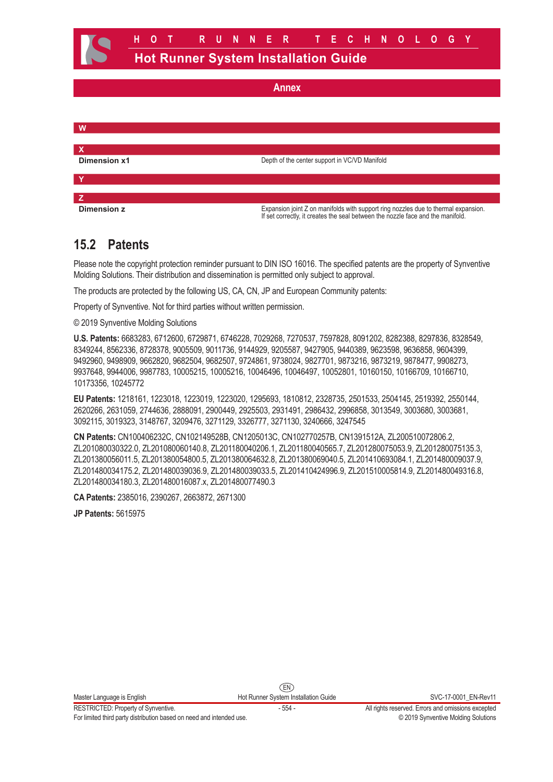**W X Dimension x1** Depth of the center support in VC/VD Manifold **Y Z Dimension z** Expansion joint Z on manifolds with support ring nozzles due to thermal expansion. If set correctly, it creates the seal between the nozzle face and the manifold.

## **15.2 Patents**

Please note the copyright protection reminder pursuant to DIN ISO 16016. The specified patents are the property of Synventive Molding Solutions. Their distribution and dissemination is permitted only subject to approval.

The products are protected by the following US, CA, CN, JP and European Community patents:

Property of Synventive. Not for third parties without written permission.

© 2019 Synventive Molding Solutions

**U.S. Patents:** 6683283, 6712600, 6729871, 6746228, 7029268, 7270537, 7597828, 8091202, 8282388, 8297836, 8328549, 8349244, 8562336, 8728378, 9005509, 9011736, 9144929, 9205587, 9427905, 9440389, 9623598, 9636858, 9604399, 9492960, 9498909, 9662820, 9682504, 9682507, 9724861, 9738024, 9827701, 9873216, 9873219, 9878477, 9908273, 9937648, 9944006, 9987783, 10005215, 10005216, 10046496, 10046497, 10052801, 10160150, 10166709, 10166710, 10173356, 10245772

**EU Patents:** 1218161, 1223018, 1223019, 1223020, 1295693, 1810812, 2328735, 2501533, 2504145, 2519392, 2550144, 2620266, 2631059, 2744636, 2888091, 2900449, 2925503, 2931491, 2986432, 2996858, 3013549, 3003680, 3003681, 3092115, 3019323, 3148767, 3209476, 3271129, 3326777, 3271130, 3240666, 3247545

**CN Patents:** CN100406232C, CN102149528B, CN1205013C, CN102770257B, CN1391512A, ZL200510072806.2, ZL201080030322.0, ZL201080060140.8, ZL201180040206.1, ZL201180040565.7, ZL201280075053.9, ZL201280075135.3, ZL201380056011.5, ZL201380054800.5, ZL201380064632.8, ZL201380069040.5, ZL201410693084.1, ZL201480009037.9, ZL201480034175.2, ZL201480039036.9, ZL201480039033.5, ZL201410424996.9, ZL201510005814.9, ZL201480049316.8, ZL201480034180.3, ZL201480016087.x, ZL201480077490.3

**CA Patents:** 2385016, 2390267, 2663872, 2671300

**JP Patents:** 5615975

RESTRICTED: Property of Synventive. - 554 - All rights reserved. Errors and omissions excepted